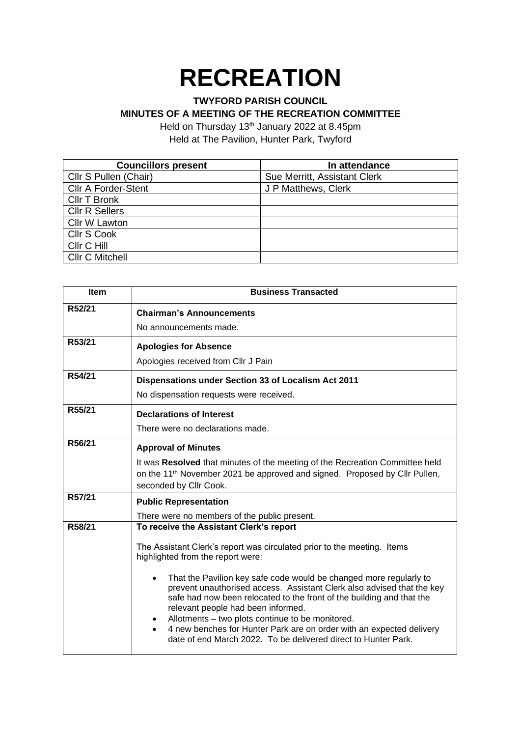## **RECREATION**

## **TWYFORD PARISH COUNCIL**

## **MINUTES OF A MEETING OF THE RECREATION COMMITTEE**

Held on Thursday 13<sup>th</sup> January 2022 at 8.45pm Held at The Pavilion, Hunter Park, Twyford

| <b>Councillors present</b> | In attendance                |
|----------------------------|------------------------------|
| Cllr S Pullen (Chair)      | Sue Merritt, Assistant Clerk |
| <b>Cllr A Forder-Stent</b> | J P Matthews, Clerk          |
| <b>Cllr T Bronk</b>        |                              |
| <b>Cllr R Sellers</b>      |                              |
| Cllr W Lawton              |                              |
| Cllr S Cook                |                              |
| Cllr C Hill                |                              |
| <b>Cllr C Mitchell</b>     |                              |

| <b>Item</b> | <b>Business Transacted</b>                                                                                                                                                                                                                                                                                                                                                                                                                                             |
|-------------|------------------------------------------------------------------------------------------------------------------------------------------------------------------------------------------------------------------------------------------------------------------------------------------------------------------------------------------------------------------------------------------------------------------------------------------------------------------------|
| R52/21      | <b>Chairman's Announcements</b>                                                                                                                                                                                                                                                                                                                                                                                                                                        |
|             | No announcements made.                                                                                                                                                                                                                                                                                                                                                                                                                                                 |
| R53/21      | <b>Apologies for Absence</b>                                                                                                                                                                                                                                                                                                                                                                                                                                           |
|             | Apologies received from Cllr J Pain                                                                                                                                                                                                                                                                                                                                                                                                                                    |
| R54/21      | Dispensations under Section 33 of Localism Act 2011                                                                                                                                                                                                                                                                                                                                                                                                                    |
|             | No dispensation requests were received.                                                                                                                                                                                                                                                                                                                                                                                                                                |
| R55/21      | <b>Declarations of Interest</b>                                                                                                                                                                                                                                                                                                                                                                                                                                        |
|             | There were no declarations made.                                                                                                                                                                                                                                                                                                                                                                                                                                       |
| R56/21      | <b>Approval of Minutes</b>                                                                                                                                                                                                                                                                                                                                                                                                                                             |
|             | It was Resolved that minutes of the meeting of the Recreation Committee held<br>on the 11 <sup>th</sup> November 2021 be approved and signed. Proposed by Cllr Pullen,<br>seconded by Cllr Cook.                                                                                                                                                                                                                                                                       |
| R57/21      | <b>Public Representation</b>                                                                                                                                                                                                                                                                                                                                                                                                                                           |
|             | There were no members of the public present.                                                                                                                                                                                                                                                                                                                                                                                                                           |
| R58/21      | To receive the Assistant Clerk's report                                                                                                                                                                                                                                                                                                                                                                                                                                |
|             | The Assistant Clerk's report was circulated prior to the meeting. Items<br>highlighted from the report were:                                                                                                                                                                                                                                                                                                                                                           |
|             | That the Pavilion key safe code would be changed more regularly to<br>$\bullet$<br>prevent unauthorised access. Assistant Clerk also advised that the key<br>safe had now been relocated to the front of the building and that the<br>relevant people had been informed.<br>Allotments - two plots continue to be monitored.<br>4 new benches for Hunter Park are on order with an expected delivery<br>date of end March 2022. To be delivered direct to Hunter Park. |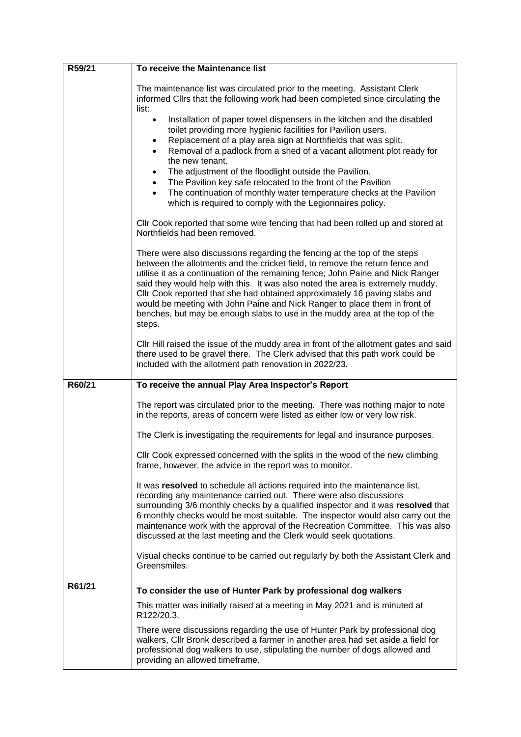| R59/21 | To receive the Maintenance list                                                                                                                                                                                                                                                                                                                                                                                                                                                                                                                                                                                                            |
|--------|--------------------------------------------------------------------------------------------------------------------------------------------------------------------------------------------------------------------------------------------------------------------------------------------------------------------------------------------------------------------------------------------------------------------------------------------------------------------------------------------------------------------------------------------------------------------------------------------------------------------------------------------|
|        | The maintenance list was circulated prior to the meeting. Assistant Clerk<br>informed Clirs that the following work had been completed since circulating the<br>list:                                                                                                                                                                                                                                                                                                                                                                                                                                                                      |
|        | Installation of paper towel dispensers in the kitchen and the disabled<br>$\bullet$<br>toilet providing more hygienic facilities for Pavilion users.<br>Replacement of a play area sign at Northfields that was split.<br>٠<br>Removal of a padlock from a shed of a vacant allotment plot ready for<br>$\bullet$<br>the new tenant.<br>The adjustment of the floodlight outside the Pavilion.<br>$\bullet$<br>The Pavilion key safe relocated to the front of the Pavilion<br>$\bullet$<br>The continuation of monthly water temperature checks at the Pavilion<br>$\bullet$<br>which is required to comply with the Legionnaires policy. |
|        | CIIr Cook reported that some wire fencing that had been rolled up and stored at<br>Northfields had been removed.                                                                                                                                                                                                                                                                                                                                                                                                                                                                                                                           |
|        | There were also discussions regarding the fencing at the top of the steps<br>between the allotments and the cricket field, to remove the return fence and<br>utilise it as a continuation of the remaining fence; John Paine and Nick Ranger<br>said they would help with this. It was also noted the area is extremely muddy.<br>Cllr Cook reported that she had obtained approximately 16 paving slabs and<br>would be meeting with John Paine and Nick Ranger to place them in front of<br>benches, but may be enough slabs to use in the muddy area at the top of the<br>steps.                                                        |
|        | CIIr Hill raised the issue of the muddy area in front of the allotment gates and said<br>there used to be gravel there. The Clerk advised that this path work could be<br>included with the allotment path renovation in 2022/23.                                                                                                                                                                                                                                                                                                                                                                                                          |
| R60/21 | To receive the annual Play Area Inspector's Report                                                                                                                                                                                                                                                                                                                                                                                                                                                                                                                                                                                         |
|        | The report was circulated prior to the meeting. There was nothing major to note<br>in the reports, areas of concern were listed as either low or very low risk.                                                                                                                                                                                                                                                                                                                                                                                                                                                                            |
|        | The Clerk is investigating the requirements for legal and insurance purposes.                                                                                                                                                                                                                                                                                                                                                                                                                                                                                                                                                              |
|        | Cllr Cook expressed concerned with the splits in the wood of the new climbing<br>frame, however, the advice in the report was to monitor.                                                                                                                                                                                                                                                                                                                                                                                                                                                                                                  |
|        | It was resolved to schedule all actions required into the maintenance list,<br>recording any maintenance carried out. There were also discussions<br>surrounding 3/6 monthly checks by a qualified inspector and it was resolved that<br>6 monthly checks would be most suitable. The inspector would also carry out the<br>maintenance work with the approval of the Recreation Committee. This was also<br>discussed at the last meeting and the Clerk would seek quotations.                                                                                                                                                            |
|        | Visual checks continue to be carried out regularly by both the Assistant Clerk and<br>Greensmiles.                                                                                                                                                                                                                                                                                                                                                                                                                                                                                                                                         |
| R61/21 | To consider the use of Hunter Park by professional dog walkers                                                                                                                                                                                                                                                                                                                                                                                                                                                                                                                                                                             |
|        | This matter was initially raised at a meeting in May 2021 and is minuted at<br>R122/20.3.                                                                                                                                                                                                                                                                                                                                                                                                                                                                                                                                                  |
|        | There were discussions regarding the use of Hunter Park by professional dog<br>walkers, Cllr Bronk described a farmer in another area had set aside a field for<br>professional dog walkers to use, stipulating the number of dogs allowed and<br>providing an allowed timeframe.                                                                                                                                                                                                                                                                                                                                                          |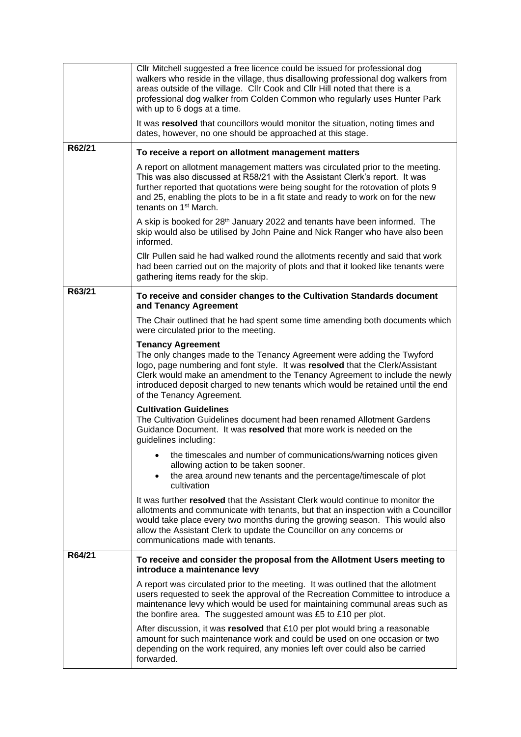|        | Cllr Mitchell suggested a free licence could be issued for professional dog<br>walkers who reside in the village, thus disallowing professional dog walkers from<br>areas outside of the village. Cllr Cook and Cllr Hill noted that there is a<br>professional dog walker from Colden Common who regularly uses Hunter Park<br>with up to 6 dogs at a time.                       |
|--------|------------------------------------------------------------------------------------------------------------------------------------------------------------------------------------------------------------------------------------------------------------------------------------------------------------------------------------------------------------------------------------|
|        | It was resolved that councillors would monitor the situation, noting times and<br>dates, however, no one should be approached at this stage.                                                                                                                                                                                                                                       |
| R62/21 | To receive a report on allotment management matters                                                                                                                                                                                                                                                                                                                                |
|        | A report on allotment management matters was circulated prior to the meeting.<br>This was also discussed at R58/21 with the Assistant Clerk's report. It was<br>further reported that quotations were being sought for the rotovation of plots 9<br>and 25, enabling the plots to be in a fit state and ready to work on for the new<br>tenants on 1 <sup>st</sup> March.          |
|        | A skip is booked for 28 <sup>th</sup> January 2022 and tenants have been informed. The<br>skip would also be utilised by John Paine and Nick Ranger who have also been<br>informed.                                                                                                                                                                                                |
|        | Cllr Pullen said he had walked round the allotments recently and said that work<br>had been carried out on the majority of plots and that it looked like tenants were<br>gathering items ready for the skip.                                                                                                                                                                       |
| R63/21 | To receive and consider changes to the Cultivation Standards document<br>and Tenancy Agreement                                                                                                                                                                                                                                                                                     |
|        | The Chair outlined that he had spent some time amending both documents which<br>were circulated prior to the meeting.                                                                                                                                                                                                                                                              |
|        | <b>Tenancy Agreement</b><br>The only changes made to the Tenancy Agreement were adding the Twyford<br>logo, page numbering and font style. It was resolved that the Clerk/Assistant<br>Clerk would make an amendment to the Tenancy Agreement to include the newly<br>introduced deposit charged to new tenants which would be retained until the end<br>of the Tenancy Agreement. |
|        | <b>Cultivation Guidelines</b><br>The Cultivation Guidelines document had been renamed Allotment Gardens<br>Guidance Document. It was resolved that more work is needed on the<br>guidelines including:                                                                                                                                                                             |
|        | the timescales and number of communications/warning notices given<br>allowing action to be taken sooner.<br>the area around new tenants and the percentage/timescale of plot<br>$\bullet$<br>cultivation                                                                                                                                                                           |
|        | It was further resolved that the Assistant Clerk would continue to monitor the<br>allotments and communicate with tenants, but that an inspection with a Councillor<br>would take place every two months during the growing season. This would also<br>allow the Assistant Clerk to update the Councillor on any concerns or<br>communications made with tenants.                  |
| R64/21 | To receive and consider the proposal from the Allotment Users meeting to<br>introduce a maintenance levy                                                                                                                                                                                                                                                                           |
|        | A report was circulated prior to the meeting. It was outlined that the allotment<br>users requested to seek the approval of the Recreation Committee to introduce a<br>maintenance levy which would be used for maintaining communal areas such as<br>the bonfire area. The suggested amount was £5 to £10 per plot.                                                               |
|        | After discussion, it was resolved that £10 per plot would bring a reasonable<br>amount for such maintenance work and could be used on one occasion or two<br>depending on the work required, any monies left over could also be carried<br>forwarded.                                                                                                                              |